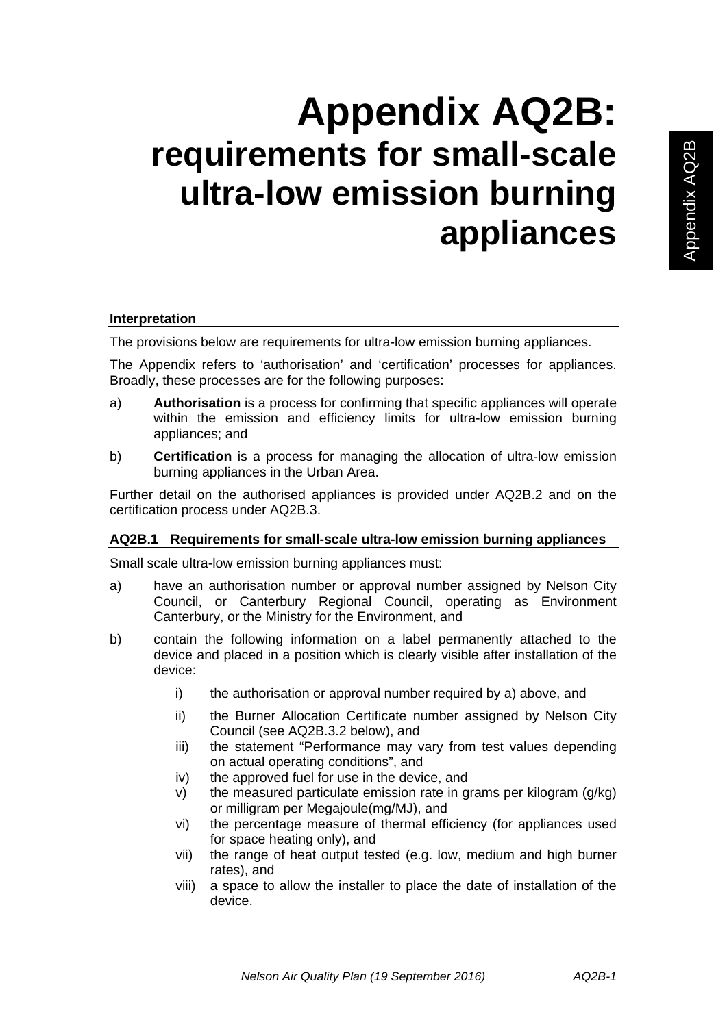# **Appendix AQ2B: requirements for small-scale ultra-low emission burning appliances**

# **Interpretation**

The provisions below are requirements for ultra-low emission burning appliances.

The Appendix refers to 'authorisation' and 'certification' processes for appliances. Broadly, these processes are for the following purposes:

- a) **Authorisation** is a process for confirming that specific appliances will operate within the emission and efficiency limits for ultra-low emission burning appliances; and
- b) **Certification** is a process for managing the allocation of ultra-low emission burning appliances in the Urban Area.

Further detail on the authorised appliances is provided under AQ2B.2 and on the certification process under AQ2B.3.

## **AQ2B.1 Requirements for small-scale ultra-low emission burning appliances**

Small scale ultra-low emission burning appliances must:

- a) have an authorisation number or approval number assigned by Nelson City Council, or Canterbury Regional Council, operating as Environment Canterbury, or the Ministry for the Environment, and
- b) contain the following information on a label permanently attached to the device and placed in a position which is clearly visible after installation of the device:
	- i) the authorisation or approval number required by a) above, and
	- ii) the Burner Allocation Certificate number assigned by Nelson City Council (see AQ2B.3.2 below), and
	- iii) the statement "Performance may vary from test values depending on actual operating conditions", and
	- iv) the approved fuel for use in the device, and
	- v) the measured particulate emission rate in grams per kilogram (g/kg) or milligram per Megajoule(mg/MJ), and
	- vi) the percentage measure of thermal efficiency (for appliances used for space heating only), and
	- vii) the range of heat output tested (e.g. low, medium and high burner rates), and
	- viii) a space to allow the installer to place the date of installation of the device.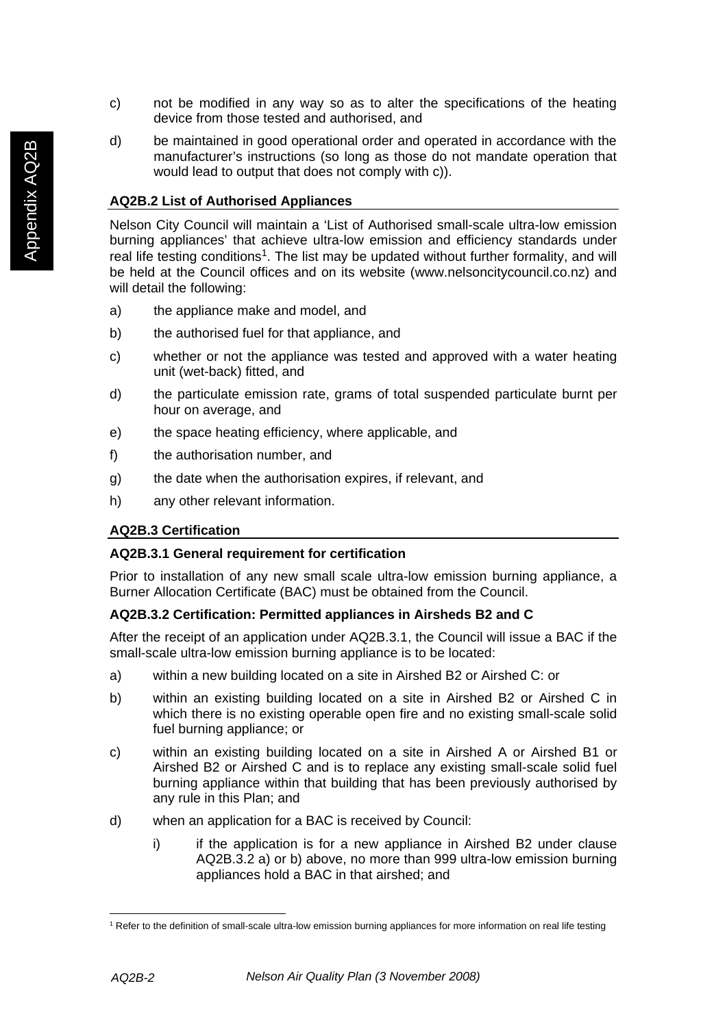- c) not be modified in any way so as to alter the specifications of the heating device from those tested and authorised, and
- d) be maintained in good operational order and operated in accordance with the manufacturer's instructions (so long as those do not mandate operation that would lead to output that does not comply with c)).

# **AQ2B.2 List of Authorised Appliances**

Nelson City Council will maintain a 'List of Authorised small-scale ultra-low emission burning appliances' that achieve ultra-low emission and efficiency standards under real life testing conditions<sup>1</sup>. The list may be updated without further formality, and will be held at the Council offices and on its website (www.nelsoncitycouncil.co.nz) and will detail the following:

- a) the appliance make and model, and
- b) the authorised fuel for that appliance, and
- c) whether or not the appliance was tested and approved with a water heating unit (wet-back) fitted, and
- d) the particulate emission rate, grams of total suspended particulate burnt per hour on average, and
- e) the space heating efficiency, where applicable, and
- f) the authorisation number, and
- g) the date when the authorisation expires, if relevant, and
- h) any other relevant information.

# **AQ2B.3 Certification**

## **AQ2B.3.1 General requirement for certification**

Prior to installation of any new small scale ultra-low emission burning appliance, a Burner Allocation Certificate (BAC) must be obtained from the Council.

# **AQ2B.3.2 Certification: Permitted appliances in Airsheds B2 and C**

After the receipt of an application under AQ2B.3.1, the Council will issue a BAC if the small-scale ultra-low emission burning appliance is to be located:

- a) within a new building located on a site in Airshed B2 or Airshed C: or
- b) within an existing building located on a site in Airshed B2 or Airshed C in which there is no existing operable open fire and no existing small-scale solid fuel burning appliance; or
- c) within an existing building located on a site in Airshed A or Airshed B1 or Airshed B2 or Airshed C and is to replace any existing small-scale solid fuel burning appliance within that building that has been previously authorised by any rule in this Plan; and
- d) when an application for a BAC is received by Council:
	- i) if the application is for a new appliance in Airshed B2 under clause AQ2B.3.2 a) or b) above, no more than 999 ultra-low emission burning appliances hold a BAC in that airshed; and

 $\overline{a}$ 

<sup>&</sup>lt;sup>1</sup> Refer to the definition of small-scale ultra-low emission burning appliances for more information on real life testing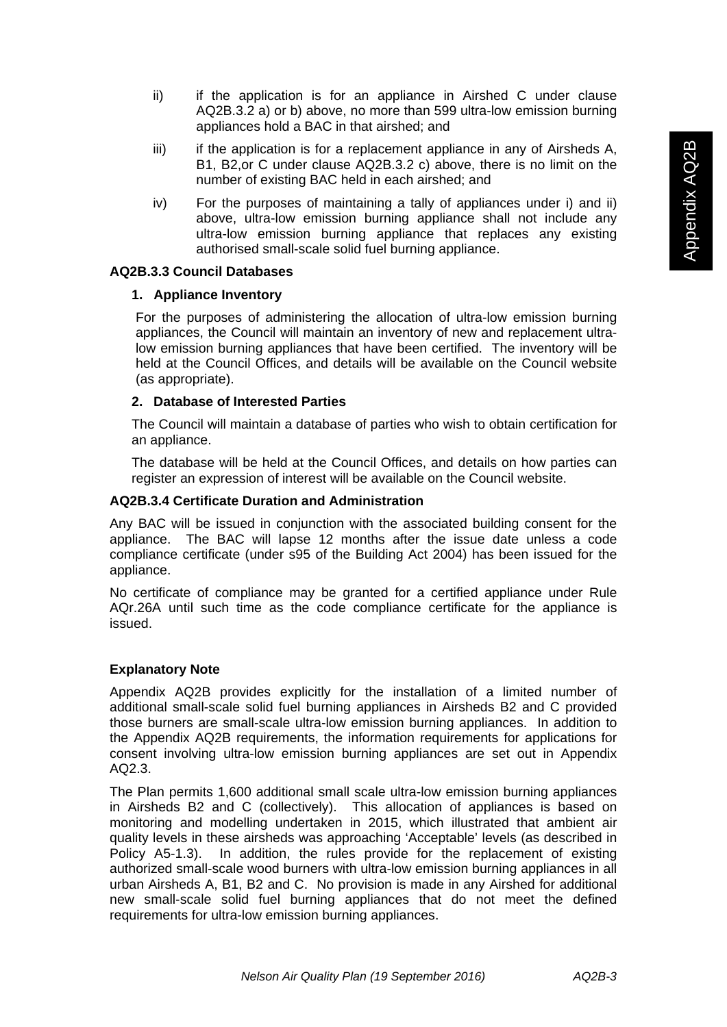- ii) if the application is for an appliance in Airshed C under clause AQ2B.3.2 a) or b) above, no more than 599 ultra-low emission burning appliances hold a BAC in that airshed; and
- $iii)$  if the application is for a replacement appliance in any of Airsheds A, B1, B2,or C under clause AQ2B.3.2 c) above, there is no limit on the number of existing BAC held in each airshed; and
- iv) For the purposes of maintaining a tally of appliances under i) and ii) above, ultra-low emission burning appliance shall not include any ultra-low emission burning appliance that replaces any existing authorised small-scale solid fuel burning appliance.

# **AQ2B.3.3 Council Databases**

# **1. Appliance Inventory**

For the purposes of administering the allocation of ultra-low emission burning appliances, the Council will maintain an inventory of new and replacement ultralow emission burning appliances that have been certified. The inventory will be held at the Council Offices, and details will be available on the Council website (as appropriate).

# **2. Database of Interested Parties**

The Council will maintain a database of parties who wish to obtain certification for an appliance.

The database will be held at the Council Offices, and details on how parties can register an expression of interest will be available on the Council website.

## **AQ2B.3.4 Certificate Duration and Administration**

Any BAC will be issued in conjunction with the associated building consent for the appliance. The BAC will lapse 12 months after the issue date unless a code compliance certificate (under s95 of the Building Act 2004) has been issued for the appliance.

No certificate of compliance may be granted for a certified appliance under Rule AQr.26A until such time as the code compliance certificate for the appliance is issued.

## **Explanatory Note**

Appendix AQ2B provides explicitly for the installation of a limited number of additional small-scale solid fuel burning appliances in Airsheds B2 and C provided those burners are small-scale ultra-low emission burning appliances. In addition to the Appendix AQ2B requirements, the information requirements for applications for consent involving ultra-low emission burning appliances are set out in Appendix AQ2.3.

The Plan permits 1,600 additional small scale ultra-low emission burning appliances in Airsheds B2 and C (collectively). This allocation of appliances is based on monitoring and modelling undertaken in 2015, which illustrated that ambient air quality levels in these airsheds was approaching 'Acceptable' levels (as described in Policy A5-1.3). In addition, the rules provide for the replacement of existing authorized small-scale wood burners with ultra-low emission burning appliances in all urban Airsheds A, B1, B2 and C. No provision is made in any Airshed for additional new small-scale solid fuel burning appliances that do not meet the defined requirements for ultra-low emission burning appliances.